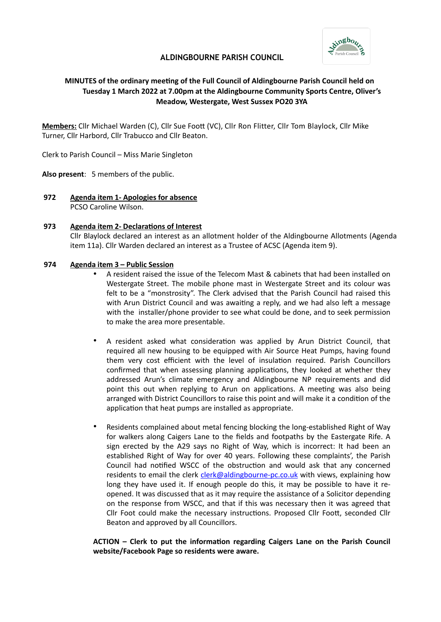

# **ALDINGBOURNE PARISH COUNCIL**

# **MINUTES of the ordinary meeting of the Full Council of Aldingbourne Parish Council held on Tuesday 1 March 2022 at 7.00pm at the Aldingbourne Community Sports Centre, Oliver's Meadow, Westergate, West Sussex PO20 3YA**

**Members:** Cllr Michael Warden (C), Cllr Sue Foot (VC), Cllr Ron Flitter, Cllr Tom Blaylock, Cllr Mike Turner, Cllr Harbord, Cllr Trabucco and Cllr Beaton.

Clerk to Parish Council – Miss Marie Singleton

**Also present**: 5 members of the public.

**972 Agenda item 1- Apologies for absence** PCSO Caroline Wilson.

## **973 Agenda item 2- Declarations of Interest**

Cllr Blaylock declared an interest as an allotment holder of the Aldingbourne Allotments (Agenda item 11a). Cllr Warden declared an interest as a Trustee of ACSC (Agenda item 9).

## **974 Agenda item 3 – Public Session**

- A resident raised the issue of the Telecom Mast & cabinets that had been installed on Westergate Street. The mobile phone mast in Westergate Street and its colour was felt to be a "monstrosity". The Clerk advised that the Parish Council had raised this with Arun District Council and was awaiting a reply, and we had also left a message with the installer/phone provider to see what could be done, and to seek permission to make the area more presentable.
- A resident asked what consideration was applied by Arun District Council, that required all new housing to be equipped with Air Source Heat Pumps, having found them very cost efficient with the level of insulation required. Parish Councillors confirmed that when assessing planning applications, they looked at whether they addressed Arun's climate emergency and Aldingbourne NP requirements and did point this out when replying to Arun on applications. A meeting was also being arranged with District Councillors to raise this point and will make it a condition of the application that heat pumps are installed as appropriate.
- Residents complained about metal fencing blocking the long-established Right of Way for walkers along Caigers Lane to the fields and footpaths by the Eastergate Rife. A sign erected by the A29 says no Right of Way, which is incorrect: It had been an established Right of Way for over 40 years. Following these complaints', the Parish Council had notified WSCC of the obstruction and would ask that any concerned residents to email the clerk [clerk@aldingbourne-pc.co.uk](mailto:clerk@aldingbourne-pc.co.uk) with views, explaining how long they have used it. If enough people do this, it may be possible to have it reopened. It was discussed that as it may require the assistance of a Solicitor depending on the response from WSCC, and that if this was necessary then it was agreed that Cllr Foot could make the necessary instructions. Proposed Cllr Foott, seconded Cllr Beaton and approved by all Councillors.

**ACTION – Clerk to put the information regarding Caigers Lane on the Parish Council website/Facebook Page so residents were aware.**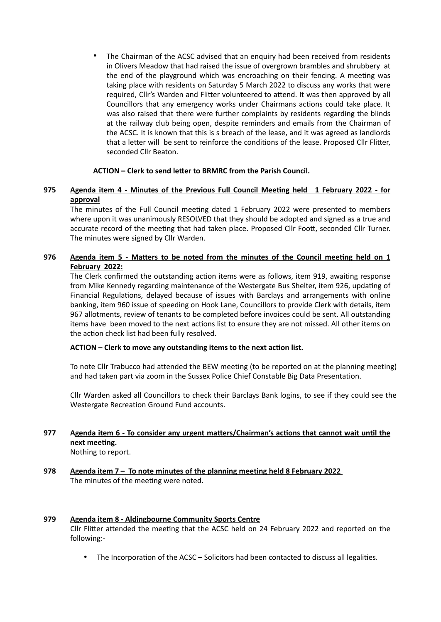• The Chairman of the ACSC advised that an enquiry had been received from residents in Olivers Meadow that had raised the issue of overgrown brambles and shrubbery at the end of the playground which was encroaching on their fencing. A meeting was taking place with residents on Saturday 5 March 2022 to discuss any works that were required, Cllr's Warden and Flitter volunteered to attend. It was then approved by all Councillors that any emergency works under Chairmans actions could take place. It was also raised that there were further complaints by residents regarding the blinds at the railway club being open, despite reminders and emails from the Chairman of the ACSC. It is known that this is s breach of the lease, and it was agreed as landlords that a letter will be sent to reinforce the conditions of the lease. Proposed Cllr Flitter, seconded Cllr Beaton.

# **ACTION – Clerk to send letter to BRMRC from the Parish Council.**

# **975 Agenda item 4 - Minutes of the Previous Full Council Meeting held 1 February 2022 - for approval**

The minutes of the Full Council meeting dated 1 February 2022 were presented to members where upon it was unanimously RESOLVED that they should be adopted and signed as a true and accurate record of the meeting that had taken place. Proposed Cllr Foott, seconded Cllr Turner. The minutes were signed by Cllr Warden.

# **976 Agenda item 5 - Matters to be noted from the minutes of the Council meeting held on 1 February 2022:**

The Clerk confirmed the outstanding action items were as follows, item 919, awaiting response from Mike Kennedy regarding maintenance of the Westergate Bus Shelter, item 926, updating of Financial Regulations, delayed because of issues with Barclays and arrangements with online banking, item 960 issue of speeding on Hook Lane, Councillors to provide Clerk with details, item 967 allotments, review of tenants to be completed before invoices could be sent. All outstanding items have been moved to the next actions list to ensure they are not missed. All other items on the action check list had been fully resolved.

## **ACTION – Clerk to move any outstanding items to the next action list.**

To note Cllr Trabucco had attended the BEW meeting (to be reported on at the planning meeting) and had taken part via zoom in the Sussex Police Chief Constable Big Data Presentation.

Cllr Warden asked all Councillors to check their Barclays Bank logins, to see if they could see the Westergate Recreation Ground Fund accounts.

# **977 Agenda item 6 - To consider any urgent matters/Chairman's actions that cannot wait until the next meeting.**

Nothing to report.

**978 Agenda item 7 – To note minutes of the planning meeting held 8 February 2022** The minutes of the meeting were noted.

## **979 Agenda item 8 - Aldingbourne Community Sports Centre**

Cllr Flitter attended the meeting that the ACSC held on 24 February 2022 and reported on the following:-

• The Incorporation of the ACSC – Solicitors had been contacted to discuss all legalities.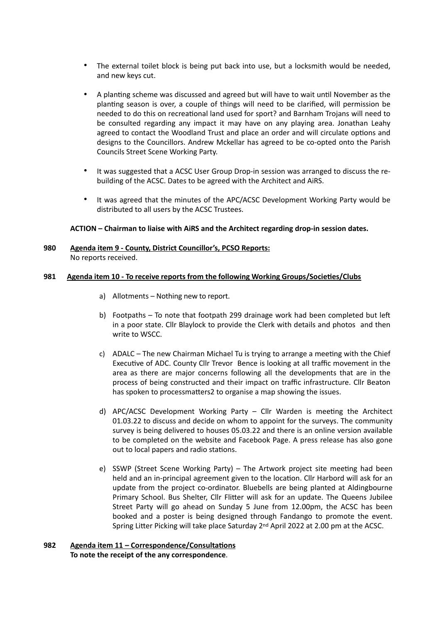- The external toilet block is being put back into use, but a locksmith would be needed, and new keys cut.
- A planting scheme was discussed and agreed but will have to wait until November as the planting season is over, a couple of things will need to be clarified, will permission be needed to do this on recreational land used for sport? and Barnham Trojans will need to be consulted regarding any impact it may have on any playing area. Jonathan Leahy agreed to contact the Woodland Trust and place an order and will circulate options and designs to the Councillors. Andrew Mckellar has agreed to be co-opted onto the Parish Councils Street Scene Working Party.
- It was suggested that a ACSC User Group Drop-in session was arranged to discuss the rebuilding of the ACSC. Dates to be agreed with the Architect and AiRS.
- It was agreed that the minutes of the APC/ACSC Development Working Party would be distributed to all users by the ACSC Trustees.

## **ACTION – Chairman to liaise with AiRS and the Architect regarding drop-in session dates.**

## **980 Agenda item 9 - County, District Councillor's, PCSO Reports:**  No reports received.

## **981 Agenda item 10 - To receive reports from the following Working Groups/Societies/Clubs**

- a) Allotments Nothing new to report.
- b) Footpaths To note that footpath 299 drainage work had been completed but left in a poor state. Cllr Blaylock to provide the Clerk with details and photos and then write to WSCC.
- c) ADALC The new Chairman Michael Tu is trying to arrange a meeting with the Chief Executive of ADC. County Cllr Trevor Bence is looking at all traffic movement in the area as there are major concerns following all the developments that are in the process of being constructed and their impact on traffic infrastructure. Cllr Beaton has spoken to processmatters2 to organise a map showing the issues.
- d) APC/ACSC Development Working Party Cllr Warden is meeting the Architect 01.03.22 to discuss and decide on whom to appoint for the surveys. The community survey is being delivered to houses 05.03.22 and there is an online version available to be completed on the website and Facebook Page. A press release has also gone out to local papers and radio stations.
- e) SSWP (Street Scene Working Party) The Artwork project site meeting had been held and an in-principal agreement given to the location. Cllr Harbord will ask for an update from the project co-ordinator. Bluebells are being planted at Aldingbourne Primary School. Bus Shelter, Cllr Flitter will ask for an update. The Queens Jubilee Street Party will go ahead on Sunday 5 June from 12.00pm, the ACSC has been booked and a poster is being designed through Fandango to promote the event. Spring Litter Picking will take place Saturday 2nd April 2022 at 2.00 pm at the ACSC.

#### **982 Agenda item 11 – Correspondence/Consultations To note the receipt of the any correspondence**.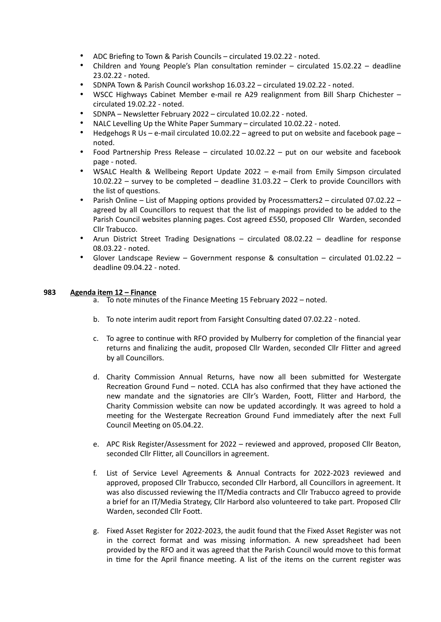- ADC Briefing to Town & Parish Councils circulated 19.02.22 noted.
- Children and Young People's Plan consultation reminder circulated 15.02.22 deadline 23.02.22 - noted.
- SDNPA Town & Parish Council workshop 16.03.22 circulated 19.02.22 noted.
- WSCC Highways Cabinet Member e-mail re A29 realignment from Bill Sharp Chichester circulated 19.02.22 - noted.
- SDNPA Newsletter February 2022 circulated 10.02.22 noted.
- NALC Levelling Up the White Paper Summary circulated 10.02.22 noted.
- Hedgehogs R Us e-mail circulated 10.02.22 agreed to put on website and facebook page noted.
- Food Partnership Press Release circulated 10.02.22 put on our website and facebook page - noted.
- WSALC Health & Wellbeing Report Update 2022 e-mail from Emily Simpson circulated 10.02.22 – survey to be completed – deadline 31.03.22 – Clerk to provide Councillors with the list of questions.
- Parish Online List of Mapping options provided by Processmatters2 circulated 07.02.22 agreed by all Councillors to request that the list of mappings provided to be added to the Parish Council websites planning pages. Cost agreed £550, proposed Cllr Warden, seconded Cllr Trabucco.
- Arun District Street Trading Designations circulated 08.02.22 deadline for response 08.03.22 - noted.
- Glover Landscape Review Government response & consultation circulated 01.02.22 deadline 09.04.22 - noted.

# **983 Agenda item 12 – Finance**

- a. To note minutes of the Finance Meeting 15 February 2022 noted.
- b. To note interim audit report from Farsight Consulting dated 07.02.22 noted.
- c. To agree to continue with RFO provided by Mulberry for completion of the financial year returns and finalizing the audit, proposed Cllr Warden, seconded Cllr Flitter and agreed by all Councillors.
- d. Charity Commission Annual Returns, have now all been submitted for Westergate Recreation Ground Fund – noted. CCLA has also confirmed that they have actioned the new mandate and the signatories are Cllr's Warden, Foott, Flitter and Harbord, the Charity Commission website can now be updated accordingly. It was agreed to hold a meeting for the Westergate Recreation Ground Fund immediately after the next Full Council Meeting on 05.04.22.
- e. APC Risk Register/Assessment for 2022 reviewed and approved, proposed Cllr Beaton, seconded Cllr Flitter, all Councillors in agreement.
- f. List of Service Level Agreements & Annual Contracts for 2022-2023 reviewed and approved, proposed Cllr Trabucco, seconded Cllr Harbord, all Councillors in agreement. It was also discussed reviewing the IT/Media contracts and Cllr Trabucco agreed to provide a brief for an IT/Media Strategy, Cllr Harbord also volunteered to take part. Proposed Cllr Warden, seconded Cllr Foott.
- g. Fixed Asset Register for 2022-2023, the audit found that the Fixed Asset Register was not in the correct format and was missing information. A new spreadsheet had been provided by the RFO and it was agreed that the Parish Council would move to this format in time for the April finance meeting. A list of the items on the current register was